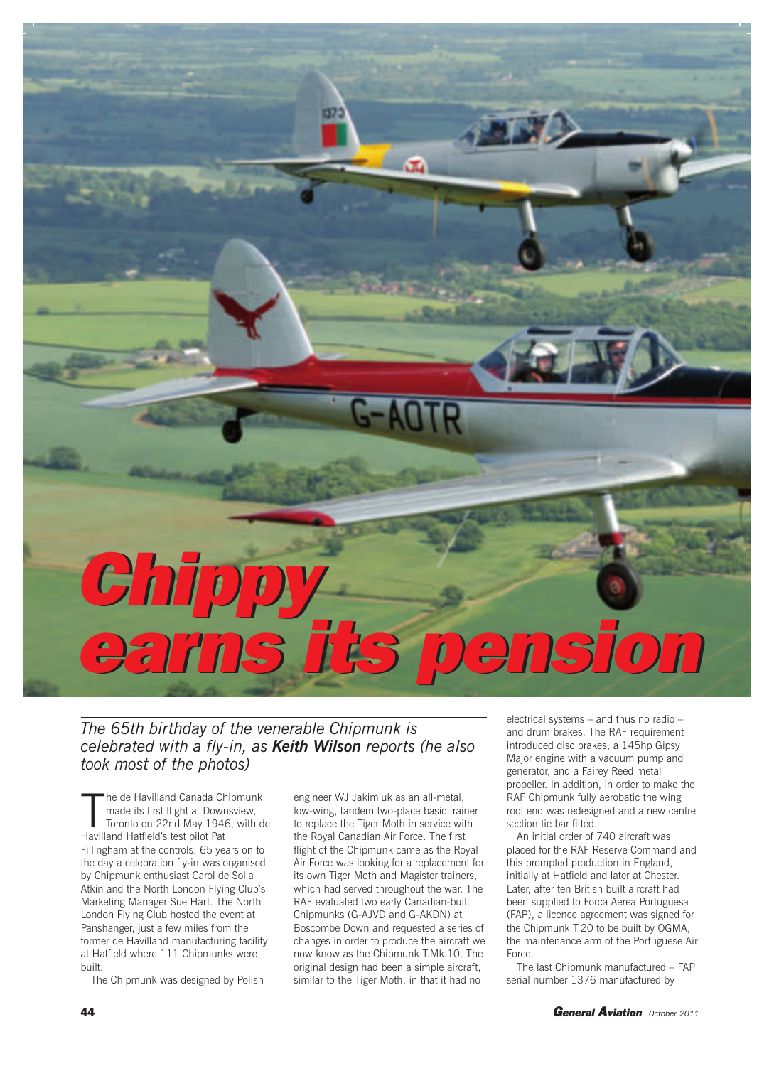## *Chippy Chippy earns its pension earns its pension*

*The 65th birthday of the venerable Chipmunk is celebrated with a fly-in, as Keith Wilson reports (he also took most of the photos)*

The de Havilland Canada Charade its first flight at Down<br>Toronto on 22nd May 194<br>Havilland Hatfield's test pilot Pat he de Havilland Canada Chipmunk made its first flight at Downsview, Toronto on 22nd May 1946, with de Fillingham at the controls. 65 years on to the day a celebration fly-in was organised by Chipmunk enthusiast Carol de Solla Atkin and the North London Flying Club's Marketing Manager Sue Hart. The North London Flying Club hosted the event at Panshanger, just a few miles from the former de Havilland manufacturing facility at Hatfield where 111 Chipmunks were built.

The Chipmunk was designed by Polish

engineer WJ Jakimiuk as an all-metal, low-wing, tandem two-place basic trainer to replace the Tiger Moth in service with the Royal Canadian Air Force. The first flight of the Chipmunk came as the Royal Air Force was looking for a replacement for its own Tiger Moth and Magister trainers, which had served throughout the war. The RAF evaluated two early Canadian-built Chipmunks (G-AJVD and G-AKDN) at Boscombe Down and requested a series of changes in order to produce the aircraft we now know as the Chipmunk T.Mk.10. The original design had been a simple aircraft, similar to the Tiger Moth, in that it had no

electrical systems – and thus no radio – and drum brakes. The RAF requirement introduced disc brakes, a 145hp Gipsy Major engine with a vacuum pump and generator, and a Fairey Reed metal propeller. In addition, in order to make the RAF Chipmunk fully aerobatic the wing root end was redesigned and a new centre section tie bar fitted.

An initial order of 740 aircraft was placed for the RAF Reserve Command and this prompted production in England, initially at Hatfield and later at Chester. Later, after ten British built aircraft had been supplied to Forca Aerea Portuguesa (FAP), a licence agreement was signed for the Chipmunk T.20 to be built by OGMA, the maintenance arm of the Portuguese Air Force.

The last Chipmunk manufactured – FAP serial number 1376 manufactured by